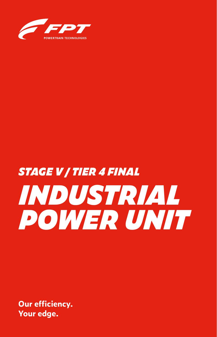

# *INDUSTRIAL POWER UNIT STAGE V / TIER 4 FINAL*

**Our efficiency. Your edge.**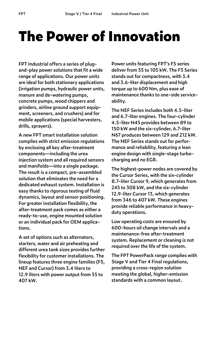## **The Power of Innovation**

**FPT Industrial offers a series of plugand-play power solutions that fit a wide range of applications. Our power units are ideal for both stationary applications (irrigation pumps, hydraulic power units, manure and de-watering pumps, concrete pumps, wood chippers and grinders, airline ground support equipment, screeners, and crushers) and for mobile applications (special harvesters, drills, sprayers).**

**A new FPT smart installation solution complies with strict emission regulations by enclosing all key after-treatment components—including the urea injection system and all required sensors and manifolds—into a single package. The result is a compact, pre-assembled solution that eliminates the need for a dedicated exhaust system. Installation is easy thanks to rigorous testing of fluid dynamics, layout and sensor positioning. For greater installation flexibility, the after-treatment pack comes as either a ready-to-use, engine mounted solution or an individual pack for OEM applications.**

**A set of options such as alternators, starters, water and air preheating and different urea tank sizes provides further flexibility for customer installations. The lineup features three engine families (F5, NEF and Cursor) from 3.4 liters to 12.9 liters with power output from 55 to 407 kW.**

**Power units featuring FPT's F5 series deliver from 55 to 105 kW. The F5 Series stands out for compactness, with 3.4 and 3.6-liter displacement and high torque up to 600 Nm, plus ease of maintenance thanks to one-side serviceability.**

**The NEF Series includes both 4.5-liter and 6.7-liter engines. The four-cylinder 4.5-liter N45 provides between 89 to 150 kW and the six-cylinder, 6.7-liter N67 produces between 129 and 212 kW. The NEF Series stands out for performance and reliability, featuring a lean engine design with single-stage turbocharging and no EGR.**

**The highest-power nodes are covered by the Cursor Series, with the six-cylinder 8.7-liter Cursor 9, which generates from 245 to 308 kW, and the six-cylinder 12.9-liter Cursor 13, which generates from 346 to 407 kW. These engines provide reliable performance in heavyduty operations.**

**Low operating costs are ensured by 600-hours oil change intervals and a maintenance-free after-treatment system. Replacement or cleaning is not required over the life of the system.**

**The FPT PowerPack range complies with Stage V and Tier 4 Final regulations, providing a cross-region solution meeting the global, higher-emission standards with a common layout.**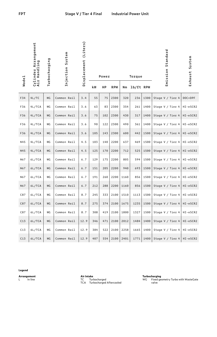| Model | Cylinder Arrangement<br>Air Handling | Turbocharging | Injection System | (Liters)<br>Displacement | Power<br>Torque |     |            |      |           |      | Standard<br>Emission | System<br>Exhaust |
|-------|--------------------------------------|---------------|------------------|--------------------------|-----------------|-----|------------|------|-----------|------|----------------------|-------------------|
|       |                                      |               |                  |                          | kW              | HP  | <b>RPM</b> | Nm   | 1b/ft RPM |      |                      |                   |
| F34   | 4L/TC                                | WG            | Common Rail      | 3.4                      | 55              | 75  | 2300       | 320  | 236       | 1300 | Stage V / Tier 4     | DOC+DPF           |
| F36   | 4L/TCA                               | WG            | Common Rail      | 3.6                      | 63              | 83  | 2300       | 354  | 261       | 1400 | Stage V / Tier 4     | HI-eSCR2          |
| F36   | 4L/TCA                               | WG            | Common Rail      | 3.6                      | 75              | 102 | 2300       | 430  | 317       | 1400 | Stage V / Tier 4     | HI-eSCR2          |
| F36   | 4L/TCA                               | WG            | Common Rail      | 3.6                      | 90              | 122 | 2300       | 490  | 361       | 1400 | Stage V / Tier 4     | HI-eSCR2          |
| F36   | 4L/TCA                               | <b>WG</b>     | Common Rail      | 3.6                      | 105             | 143 | 2300       | 600  | 442       | 1500 | Stage V / Tier 4     | HI-eSCR2          |
| N45   | 4L/TCA                               | WG            | Common Rail      | 4.5                      | 103             | 140 | 2200       | 637  | 469       | 1500 | Stage V / Tier 4     | HI-eSCR2          |
| N45   | 4L/TCA                               | WG            | Common Rail      | 4.5                      | 125             | 170 | 2200       | 712  | 525       | 1500 | Stage V / Tier 4     | HI-eSCR2          |
| N67   | 6L/TCA                               | WG            | Common Rail      | 6.7                      | 129             | 175 | 2200       | 805  | 594       | 1500 | Stage V / Tier 4     | HI-eSCR2          |
| N67   | 6L/TCA                               | WG            | Common Rail      | 6.7                      | 151             | 205 | 2200       | 940  | 693       | 1500 | Stage V / Tier 4     | HI-eSCR2          |
| N67   | 6L/TCA                               | WG            | Common Rail      | 6.7                      | 191             | 260 | 2200       | 1160 | 856       | 1500 | Stage V / Tier 4     | HI-eSCR2          |
| N67   | 6L/TCA                               | WG            | Common Rail      | 6.7                      | 212             | 288 | 2200       | 1160 | 856       | 1500 | Stage V / Tier 4     | HI-eSCR2          |
| C87   | 6L/TCA                               | WG            | Common Rail      | 8.7                      | 245             | 333 | 2100       | 1510 | 1113      | 1500 | Stage V / Tier 4     | HI-eSCR2          |
| C87   | 6L/TCA                               | WG            | Common Rail      | 8.7                      | 275             | 374 | 2100       | 1675 | 1235      | 1500 | Stage V / Tier 4     | HI-eSCR2          |
| C87   | 6L/TCA                               | WG            | Common Rail      | 8.7                      | 308             | 419 | 2100       | 1800 | 1327      | 1500 | Stage V / Tier 4     | HI-eSCR2          |
| C13   | 6L/TCA                               | WG            | Common Rail      | 12.9                     | 346             | 471 | 2100       | 2012 | 1484      | 1400 | Stage V / Tier 4     | HI-eSCR2          |
| C13   | 6L/TCA                               | WG            | Common Rail      | 12.9                     | 384             | 522 | 2100       | 2258 | 1665      | 1400 | Stage V / Tier 4     | HI-eSCR2          |
| C13   | 6L/TCA                               | WG            | Common Rail      | 12.9                     | 407             | 554 | 2100       | 2401 | 1771      | 1400 | Stage V / Tier 4     | HI-eSCR2          |

**Legend** 

**Arrangement** L In line

**Air Intake**<br>TC Turbocharged<br>TCA Turbocharged Aftercooled

**Turbocharging** WG Fixed geometry Turbo with WasteGate valve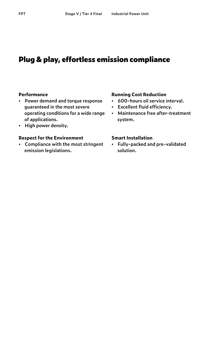### **Plug & play, effortless emission compliance**

#### **Performance**

- **• Power demand and torque response guaranteed in the most severe operating conditions for a wide range of applications.**
- **• High power density.**

#### **Respect for the Environment**

**• Compliance with the most stringent emission legislations.**

#### **Running Cost Reduction**

- **• 600-hours oil service interval.**
- **• Excellent fluid efficiency.**
- **• Maintenance free after-treatment system.**

#### **Smart Installation**

**• Fully-packed and pre-validated solution.**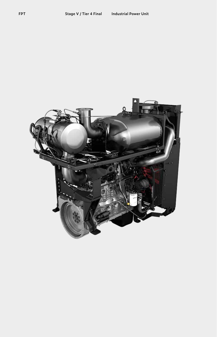